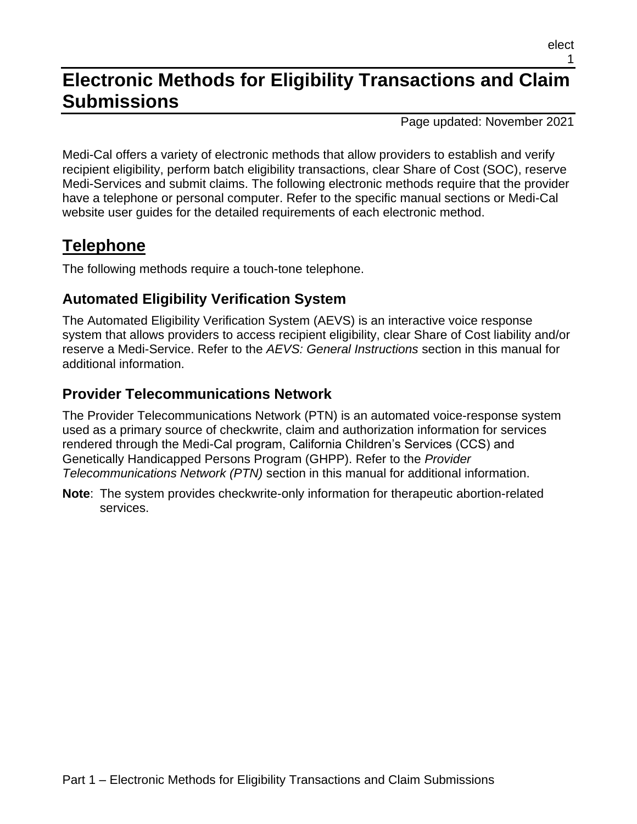# **Electronic Methods for Eligibility Transactions and Claim Submissions**

Page updated: November 2021

Medi-Cal offers a variety of electronic methods that allow providers to establish and verify recipient eligibility, perform batch eligibility transactions, clear Share of Cost (SOC), reserve Medi-Services and submit claims. The following electronic methods require that the provider have a telephone or personal computer. Refer to the specific manual sections or Medi-Cal website user guides for the detailed requirements of each electronic method.

## **Telephone**

The following methods require a touch-tone telephone.

## **Automated Eligibility Verification System**

The Automated Eligibility Verification System (AEVS) is an interactive voice response system that allows providers to access recipient eligibility, clear Share of Cost liability and/or reserve a Medi-Service. Refer to the *AEVS: General Instructions* section in this manual for additional information.

## **Provider Telecommunications Network**

The Provider Telecommunications Network (PTN) is an automated voice-response system used as a primary source of checkwrite, claim and authorization information for services rendered through the Medi-Cal program, California Children's Services (CCS) and Genetically Handicapped Persons Program (GHPP). Refer to the *Provider Telecommunications Network (PTN)* section in this manual for additional information.

**Note**: The system provides checkwrite-only information for therapeutic abortion-related services.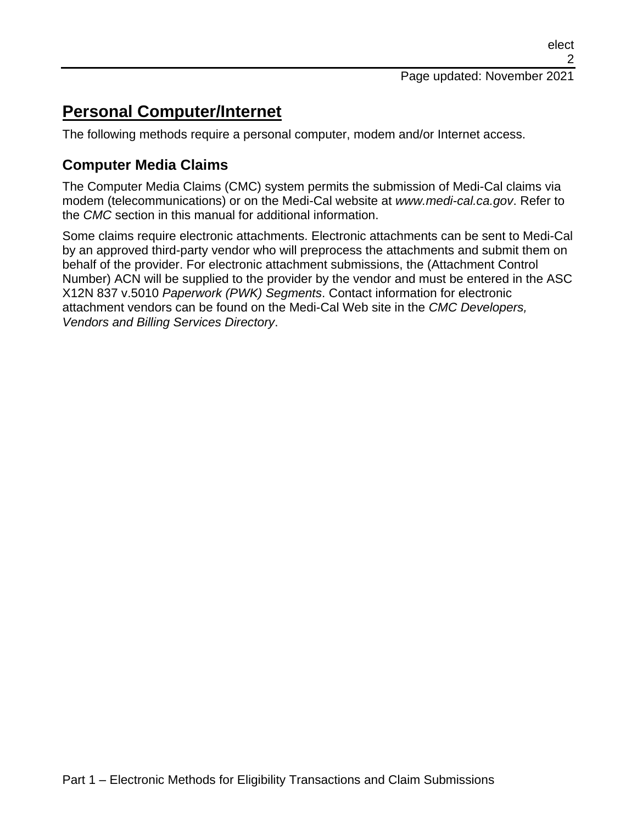# **Personal Computer/Internet**

The following methods require a personal computer, modem and/or Internet access.

## **Computer Media Claims**

The Computer Media Claims (CMC) system permits the submission of Medi-Cal claims via modem (telecommunications) or on the Medi-Cal website at *www.medi-cal.ca.gov*. Refer to the *CMC* section in this manual for additional information.

Some claims require electronic attachments. Electronic attachments can be sent to Medi-Cal by an approved third-party vendor who will preprocess the attachments and submit them on behalf of the provider. For electronic attachment submissions, the (Attachment Control Number) ACN will be supplied to the provider by the vendor and must be entered in the ASC X12N 837 v.5010 *Paperwork (PWK) Segments*. Contact information for electronic attachment vendors can be found on the Medi-Cal Web site in the *CMC Developers, Vendors and Billing Services Directory*.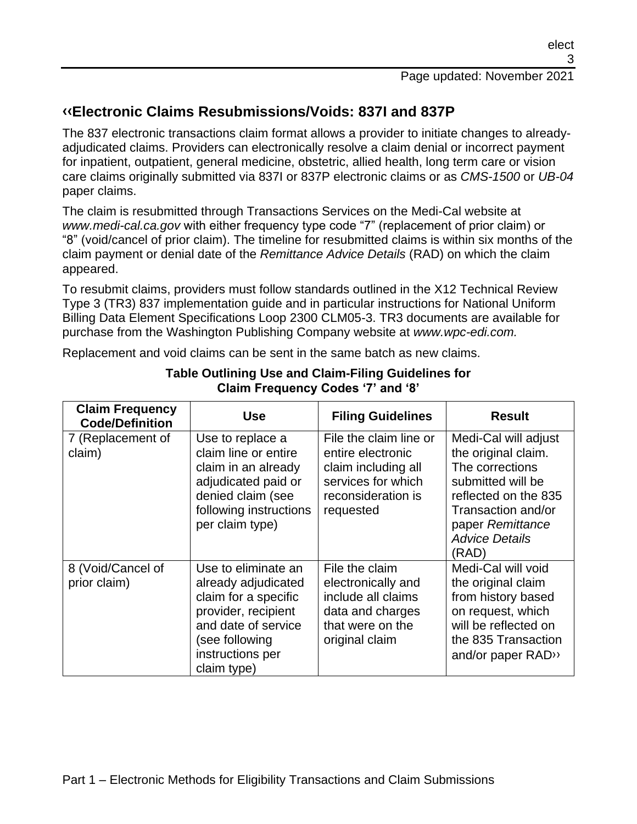### Page updated: November 2021

## **[‹‹E](#page-6-0)lectronic Claims Resubmissions/Voids: 837I and 837P**

The 837 electronic transactions claim format allows a provider to initiate changes to alreadyadjudicated claims. Providers can electronically resolve a claim denial or incorrect payment for inpatient, outpatient, general medicine, obstetric, allied health, long term care or vision care claims originally submitted via 837I or 837P electronic claims or as *CMS-1500* or *UB-04* paper claims.

The claim is resubmitted through Transactions Services on the Medi-Cal website at *www.medi-cal.ca.gov* with either frequency type code "7" (replacement of prior claim) or "8" (void/cancel of prior claim). The timeline for resubmitted claims is within six months of the claim payment or denial date of the *Remittance Advice Details* (RAD) on which the claim appeared.

To resubmit claims, providers must follow standards outlined in the X12 Technical Review Type 3 (TR3) 837 implementation guide and in particular instructions for National Uniform Billing Data Element Specifications Loop 2300 CLM05-3. TR3 documents are available for purchase from the Washington Publishing Company website at *www.wpc-edi.com.*

Replacement and void claims can be sent in the same batch as new claims.

| <b>Claim Frequency</b><br><b>Code/Definition</b> | <b>Use</b>                                                                                                                                                            | <b>Filing Guidelines</b>                                                                                                    | <b>Result</b>                                                                                                                                                                           |
|--------------------------------------------------|-----------------------------------------------------------------------------------------------------------------------------------------------------------------------|-----------------------------------------------------------------------------------------------------------------------------|-----------------------------------------------------------------------------------------------------------------------------------------------------------------------------------------|
| 7 (Replacement of<br>claim)                      | Use to replace a<br>claim line or entire<br>claim in an already<br>adjudicated paid or<br>denied claim (see<br>following instructions<br>per claim type)              | File the claim line or<br>entire electronic<br>claim including all<br>services for which<br>reconsideration is<br>requested | Medi-Cal will adjust<br>the original claim.<br>The corrections<br>submitted will be<br>reflected on the 835<br>Transaction and/or<br>paper Remittance<br><b>Advice Details</b><br>(RAD) |
| 8 (Void/Cancel of<br>prior claim)                | Use to eliminate an<br>already adjudicated<br>claim for a specific<br>provider, recipient<br>and date of service<br>(see following<br>instructions per<br>claim type) | File the claim<br>electronically and<br>include all claims<br>data and charges<br>that were on the<br>original claim        | Medi-Cal will void<br>the original claim<br>from history based<br>on request, which<br>will be reflected on<br>the 835 Transaction<br>and/or paper RAD»                                 |

#### **Table Outlining Use and Claim-Filing Guidelines for Claim Frequency Codes '7' and '8'**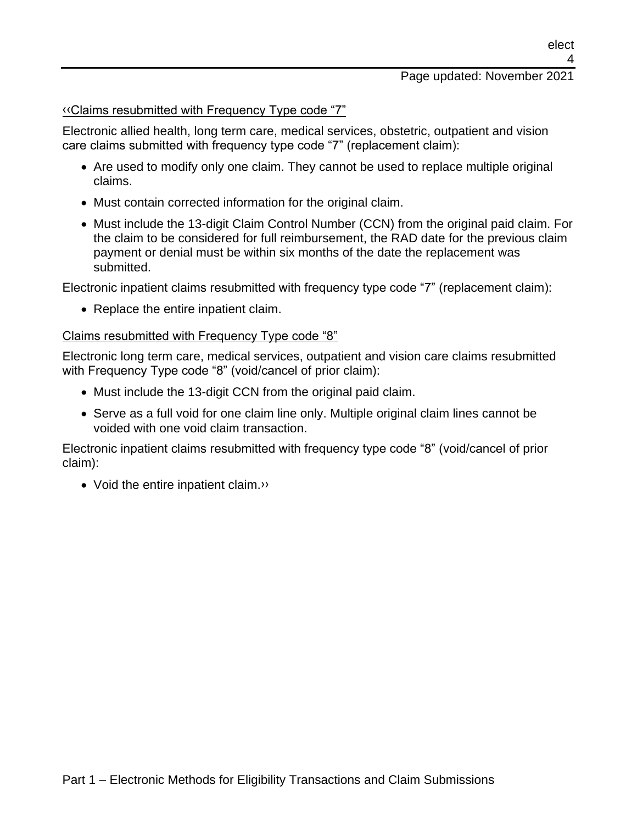### Page updated: November 2021

### [‹‹C](#page-6-0)laims resubmitted with Frequency Type code "7"

Electronic allied health, long term care, medical services, obstetric, outpatient and vision care claims submitted with frequency type code "7" (replacement claim):

- Are used to modify only one claim. They cannot be used to replace multiple original claims.
- Must contain corrected information for the original claim.
- Must include the 13-digit Claim Control Number (CCN) from the original paid claim. For the claim to be considered for full reimbursement, the RAD date for the previous claim payment or denial must be within six months of the date the replacement was submitted.

Electronic inpatient claims resubmitted with frequency type code "7" (replacement claim):

• Replace the entire inpatient claim.

### Claims resubmitted with Frequency Type code "8"

Electronic long term care, medical services, outpatient and vision care claims resubmitted with Frequency Type code "8" (void/cancel of prior claim):

- Must include the 13-digit CCN from the original paid claim.
- Serve as a full void for one claim line only. Multiple original claim lines cannot be voided with one void claim transaction.

Electronic inpatient claims resubmitted with frequency type code "8" (void/cancel of prior claim):

• Void the entire inpatient claim.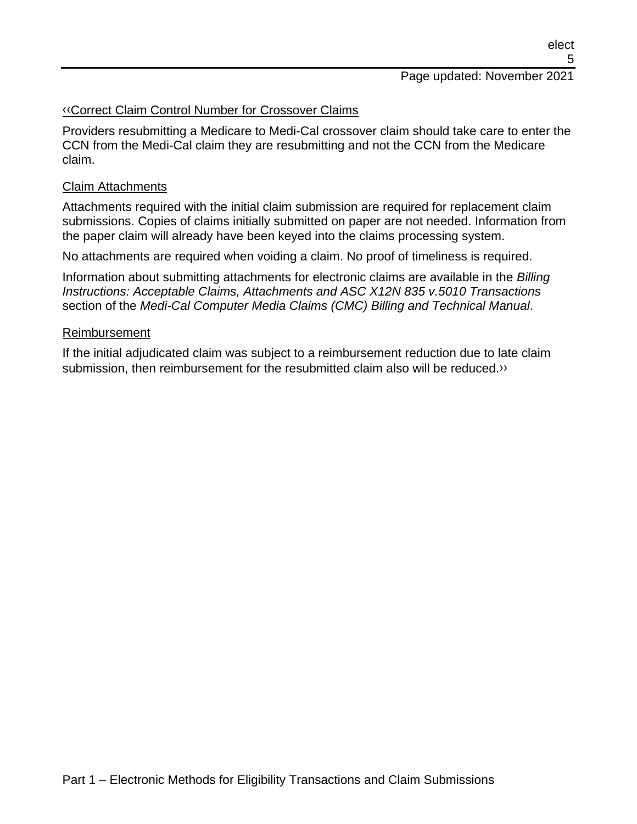# Page updated: November 2021

#### [‹‹C](#page-6-0)orrect Claim Control Number for Crossover Claims

Providers resubmitting a Medicare to Medi-Cal crossover claim should take care to enter the CCN from the Medi-Cal claim they are resubmitting and not the CCN from the Medicare claim.

#### Claim Attachments

Attachments required with the initial claim submission are required for replacement claim submissions. Copies of claims initially submitted on paper are not needed. Information from the paper claim will already have been keyed into the claims processing system.

No attachments are required when voiding a claim. No proof of timeliness is required.

Information about submitting attachments for electronic claims are available in the *Billing Instructions: Acceptable Claims, Attachments and ASC X12N 835 v.5010 Transactions* section of the *Medi-Cal Computer Media Claims (CMC) Billing and Technical Manual*.

#### Reimbursement

If the initial adjudicated claim was subject to a reimbursement reduction due to late claim submission, then reimbursement for the resubmitted claim also will be reduced.<sup>>></sup>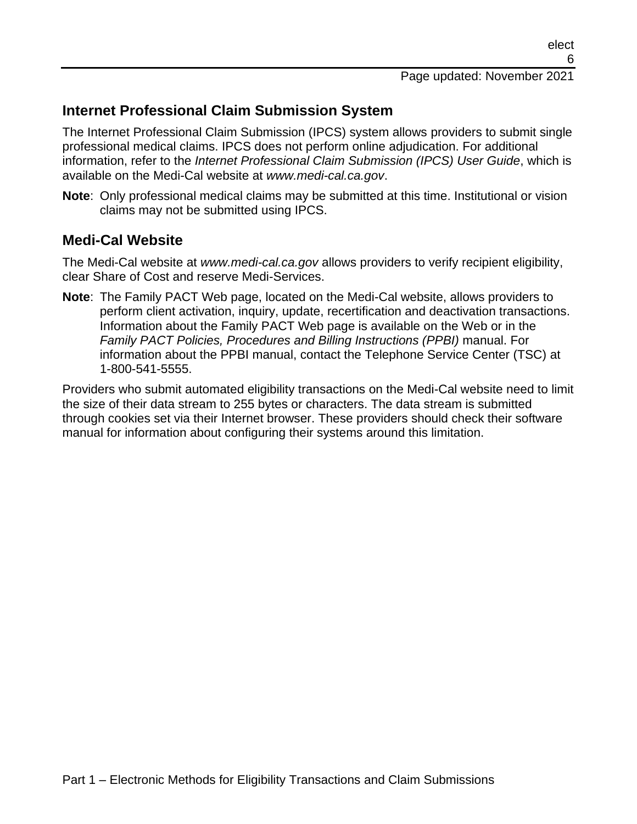### **Internet Professional Claim Submission System**

The Internet Professional Claim Submission (IPCS) system allows providers to submit single professional medical claims. IPCS does not perform online adjudication. For additional information, refer to the *Internet Professional Claim Submission (IPCS) User Guide*, which is available on the Medi-Cal website at *www.medi-cal.ca.gov*.

**Note**: Only professional medical claims may be submitted at this time. Institutional or vision claims may not be submitted using IPCS.

### **Medi-Cal Website**

The Medi-Cal website at *www.medi-cal.ca.gov* allows providers to verify recipient eligibility, clear Share of Cost and reserve Medi-Services.

**Note**: The Family PACT Web page, located on the Medi-Cal website, allows providers to perform client activation, inquiry, update, recertification and deactivation transactions. Information about the Family PACT Web page is available on the Web or in the *Family PACT Policies, Procedures and Billing Instructions (PPBI)* manual. For information about the PPBI manual, contact the Telephone Service Center (TSC) at 1-800-541-5555.

Providers who submit automated eligibility transactions on the Medi-Cal website need to limit the size of their data stream to 255 bytes or characters. The data stream is submitted through cookies set via their Internet browser. These providers should check their software manual for information about configuring their systems around this limitation.